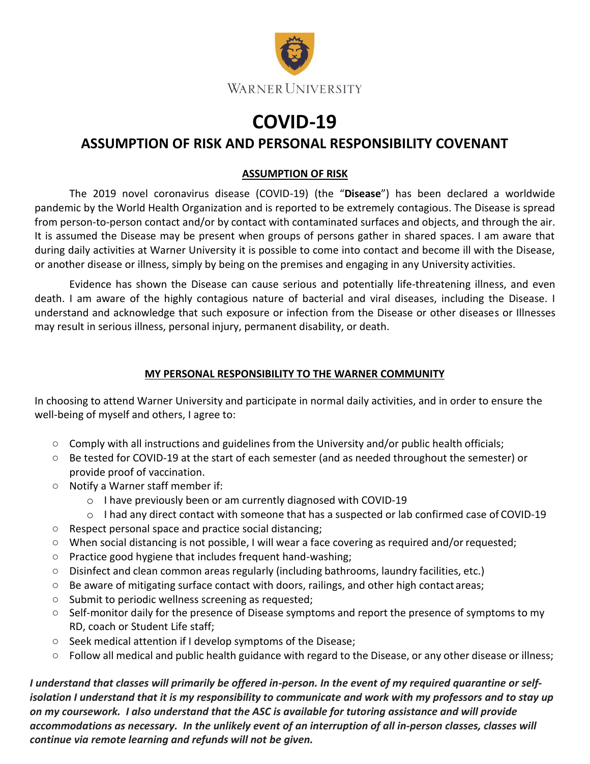

## **COVID-19**

## **ASSUMPTION OF RISK AND PERSONAL RESPONSIBILITY COVENANT**

## **ASSUMPTION OF RISK**

The 2019 novel coronavirus disease (COVID-19) (the "**Disease**") has been declared a worldwide pandemic by the World Health Organization and is reported to be extremely contagious. The Disease is spread from person-to-person contact and/or by contact with contaminated surfaces and objects, and through the air. It is assumed the Disease may be present when groups of persons gather in shared spaces. I am aware that during daily activities at Warner University it is possible to come into contact and become ill with the Disease, or another disease or illness, simply by being on the premises and engaging in any University activities.

Evidence has shown the Disease can cause serious and potentially life-threatening illness, and even death. I am aware of the highly contagious nature of bacterial and viral diseases, including the Disease. I understand and acknowledge that such exposure or infection from the Disease or other diseases or Illnesses may result in serious illness, personal injury, permanent disability, or death.

## **MY PERSONAL RESPONSIBILITY TO THE WARNER COMMUNITY**

In choosing to attend Warner University and participate in normal daily activities, and in order to ensure the well-being of myself and others, I agree to:

- Comply with all instructions and guidelines from the University and/or public health officials;
- Be tested for COVID-19 at the start of each semester (and as needed throughout the semester) or provide proof of vaccination.
- Notify a Warner staff member if:
	- o I have previously been or am currently diagnosed with COVID-19
	- o I had any direct contact with someone that has a suspected or lab confirmed case of COVID-19
- Respect personal space and practice social distancing;
- When social distancing is not possible, I will wear a face covering as required and/or requested;
- Practice good hygiene that includes frequent hand-washing;
- Disinfect and clean common areas regularly (including bathrooms, laundry facilities, etc.)
- Be aware of mitigating surface contact with doors, railings, and other high contact areas;
- Submit to periodic wellness screening as requested;
- Self-monitor daily for the presence of Disease symptoms and report the presence of symptoms to my RD, coach or Student Life staff;
- Seek medical attention if I develop symptoms of the Disease;
- Follow all medical and public health guidance with regard to the Disease, or any other disease or illness;

*I understand that classes will primarily be offered in-person. In the event of my required quarantine or selfisolation I understand that it is my responsibility to communicate and work with my professors and to stay up on my coursework. I also understand that the ASC is available for tutoring assistance and will provide accommodations as necessary. In the unlikely event of an interruption of all in-person classes, classes will continue via remote learning and refunds will not be given.*